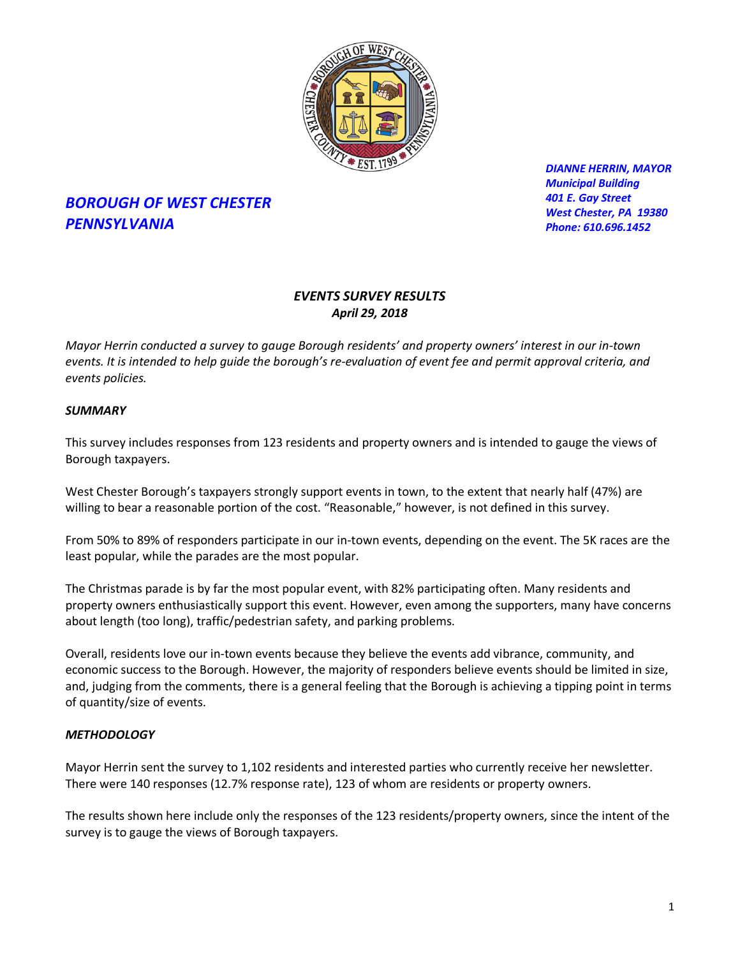

# *BOROUGH OF WEST CHESTER PENNSYLVANIA*

*DIANNE HERRIN, MAYOR Municipal Building 401 E. Gay Street West Chester, PA 19380 Phone: 610.696.1452*

# *EVENTS SURVEY RESULTS April 29, 2018*

*Mayor Herrin conducted a survey to gauge Borough residents' and property owners' interest in our in-town events. It is intended to help guide the borough's re-evaluation of event fee and permit approval criteria, and events policies.* 

## *SUMMARY*

This survey includes responses from 123 residents and property owners and is intended to gauge the views of Borough taxpayers.

West Chester Borough's taxpayers strongly support events in town, to the extent that nearly half (47%) are willing to bear a reasonable portion of the cost. "Reasonable," however, is not defined in this survey.

From 50% to 89% of responders participate in our in-town events, depending on the event. The 5K races are the least popular, while the parades are the most popular.

The Christmas parade is by far the most popular event, with 82% participating often. Many residents and property owners enthusiastically support this event. However, even among the supporters, many have concerns about length (too long), traffic/pedestrian safety, and parking problems.

Overall, residents love our in-town events because they believe the events add vibrance, community, and economic success to the Borough. However, the majority of responders believe events should be limited in size, and, judging from the comments, there is a general feeling that the Borough is achieving a tipping point in terms of quantity/size of events.

# *METHODOLOGY*

Mayor Herrin sent the survey to 1,102 residents and interested parties who currently receive her newsletter. There were 140 responses (12.7% response rate), 123 of whom are residents or property owners.

The results shown here include only the responses of the 123 residents/property owners, since the intent of the survey is to gauge the views of Borough taxpayers.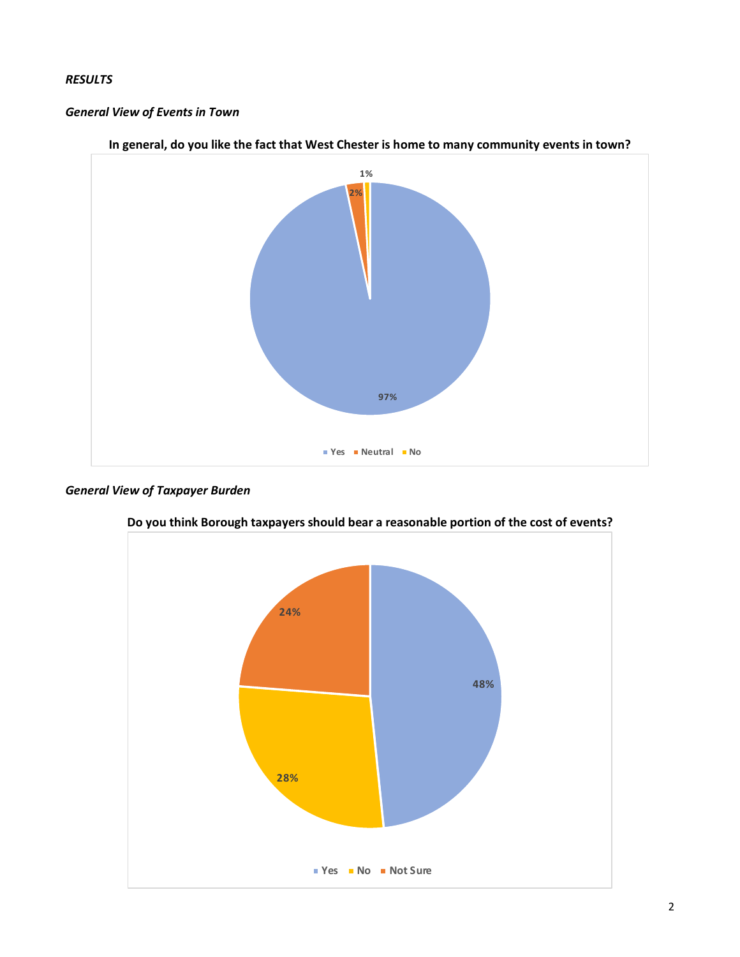## *RESULTS*

#### *General View of Events in Town*



#### **In general, do you like the fact that West Chester is home to many community events in town?**

# *General View of Taxpayer Burden*



**Do you think Borough taxpayers should bear a reasonable portion of the cost of events?**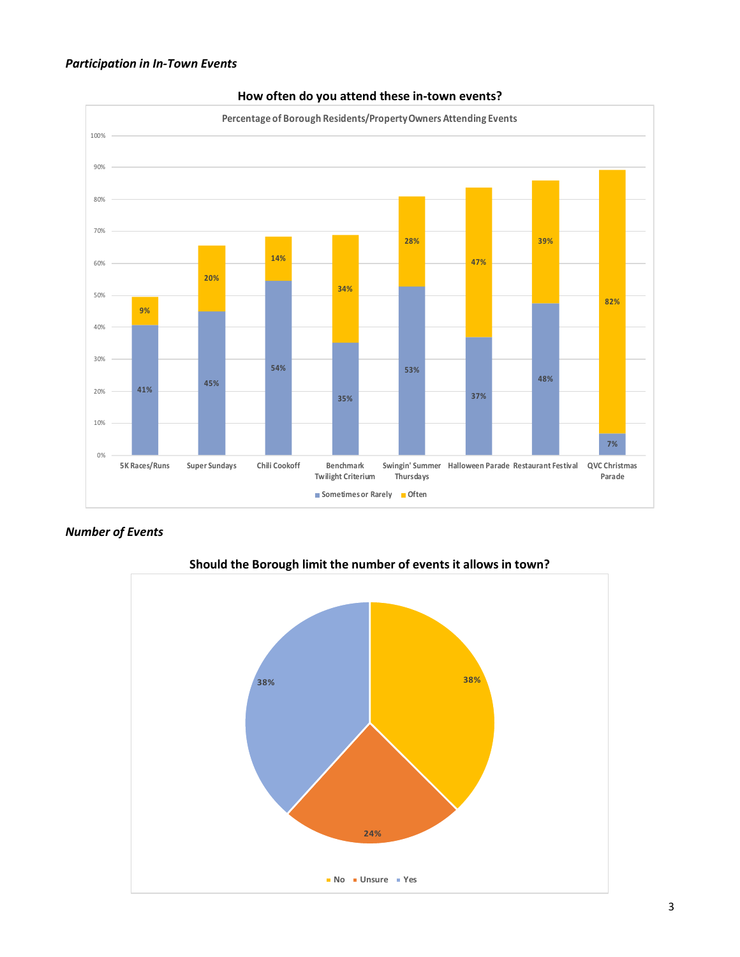



#### **How often do you attend these in-town events?**

### *Number of Events*



**Should the Borough limit the number of events it allows in town?**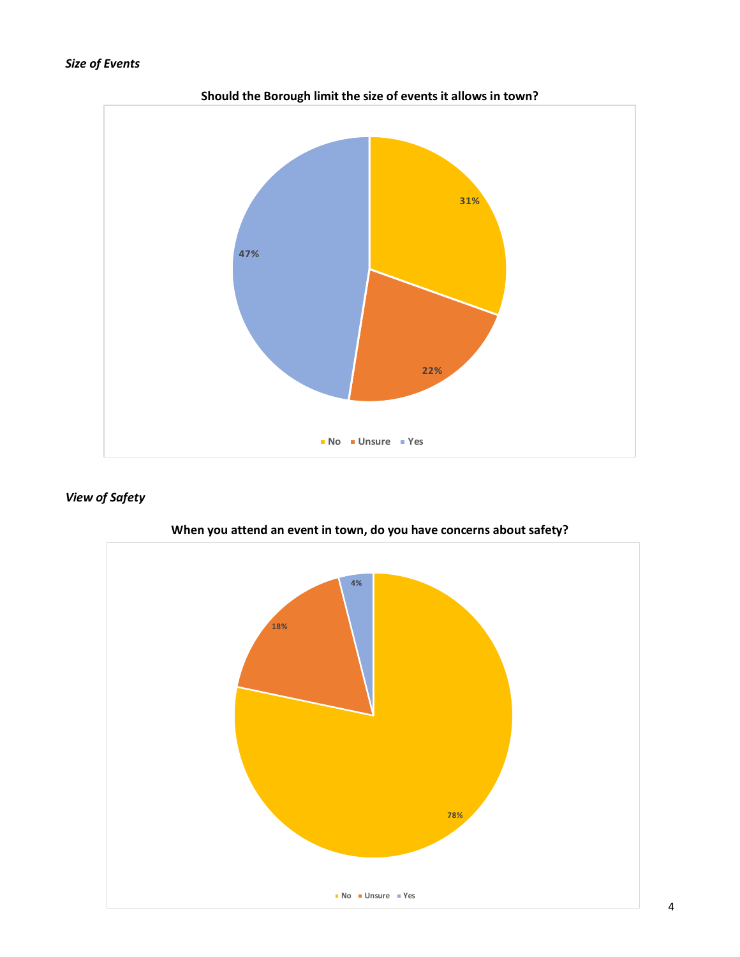# *Size of Events*



**Should the Borough limit the size of events it allows in town?**

## *View of Safety*



**When you attend an event in town, do you have concerns about safety?**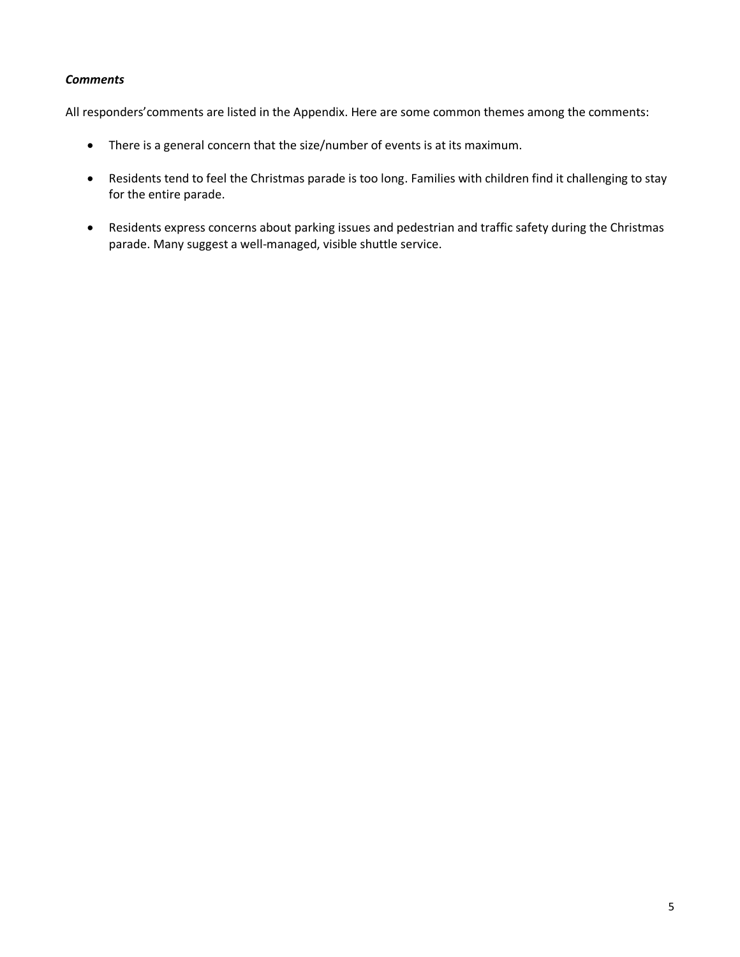### *Comments*

All responders'comments are listed in the Appendix. Here are some common themes among the comments:

- There is a general concern that the size/number of events is at its maximum.
- Residents tend to feel the Christmas parade is too long. Families with children find it challenging to stay for the entire parade.
- Residents express concerns about parking issues and pedestrian and traffic safety during the Christmas parade. Many suggest a well-managed, visible shuttle service.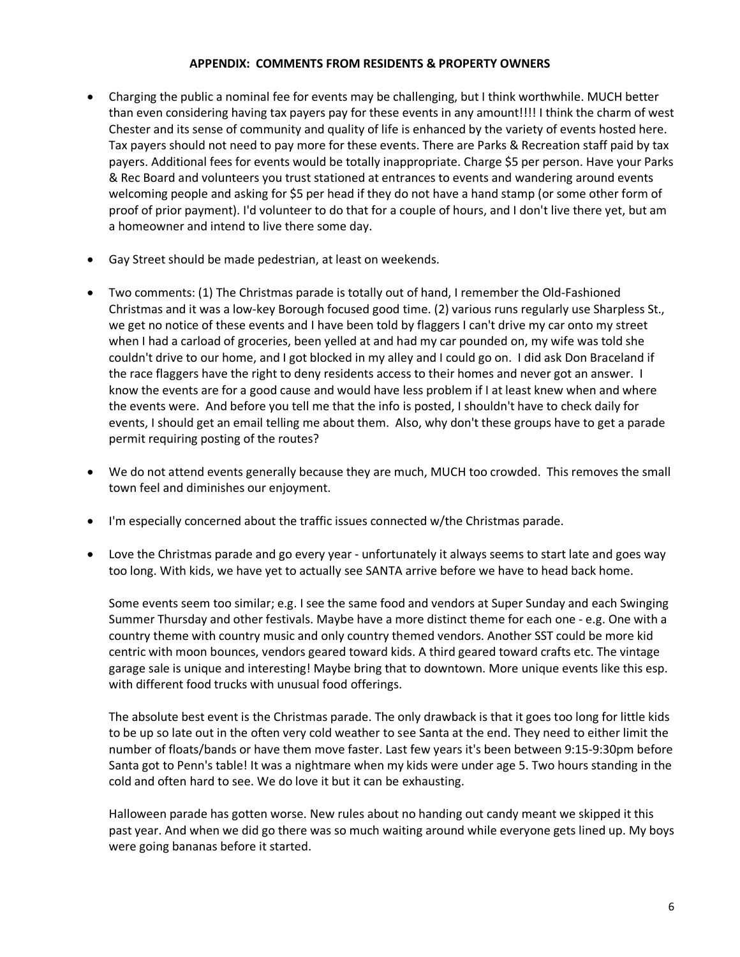#### **APPENDIX: COMMENTS FROM RESIDENTS & PROPERTY OWNERS**

- Charging the public a nominal fee for events may be challenging, but I think worthwhile. MUCH better than even considering having tax payers pay for these events in any amount!!!! I think the charm of west Chester and its sense of community and quality of life is enhanced by the variety of events hosted here. Tax payers should not need to pay more for these events. There are Parks & Recreation staff paid by tax payers. Additional fees for events would be totally inappropriate. Charge \$5 per person. Have your Parks & Rec Board and volunteers you trust stationed at entrances to events and wandering around events welcoming people and asking for \$5 per head if they do not have a hand stamp (or some other form of proof of prior payment). I'd volunteer to do that for a couple of hours, and I don't live there yet, but am a homeowner and intend to live there some day.
- Gay Street should be made pedestrian, at least on weekends.
- Two comments: (1) The Christmas parade is totally out of hand, I remember the Old-Fashioned Christmas and it was a low-key Borough focused good time. (2) various runs regularly use Sharpless St., we get no notice of these events and I have been told by flaggers I can't drive my car onto my street when I had a carload of groceries, been yelled at and had my car pounded on, my wife was told she couldn't drive to our home, and I got blocked in my alley and I could go on. I did ask Don Braceland if the race flaggers have the right to deny residents access to their homes and never got an answer. I know the events are for a good cause and would have less problem if I at least knew when and where the events were. And before you tell me that the info is posted, I shouldn't have to check daily for events, I should get an email telling me about them. Also, why don't these groups have to get a parade permit requiring posting of the routes?
- We do not attend events generally because they are much, MUCH too crowded. This removes the small town feel and diminishes our enjoyment.
- I'm especially concerned about the traffic issues connected w/the Christmas parade.
- Love the Christmas parade and go every year unfortunately it always seems to start late and goes way too long. With kids, we have yet to actually see SANTA arrive before we have to head back home.

Some events seem too similar; e.g. I see the same food and vendors at Super Sunday and each Swinging Summer Thursday and other festivals. Maybe have a more distinct theme for each one - e.g. One with a country theme with country music and only country themed vendors. Another SST could be more kid centric with moon bounces, vendors geared toward kids. A third geared toward crafts etc. The vintage garage sale is unique and interesting! Maybe bring that to downtown. More unique events like this esp. with different food trucks with unusual food offerings.

The absolute best event is the Christmas parade. The only drawback is that it goes too long for little kids to be up so late out in the often very cold weather to see Santa at the end. They need to either limit the number of floats/bands or have them move faster. Last few years it's been between 9:15-9:30pm before Santa got to Penn's table! It was a nightmare when my kids were under age 5. Two hours standing in the cold and often hard to see. We do love it but it can be exhausting.

Halloween parade has gotten worse. New rules about no handing out candy meant we skipped it this past year. And when we did go there was so much waiting around while everyone gets lined up. My boys were going bananas before it started.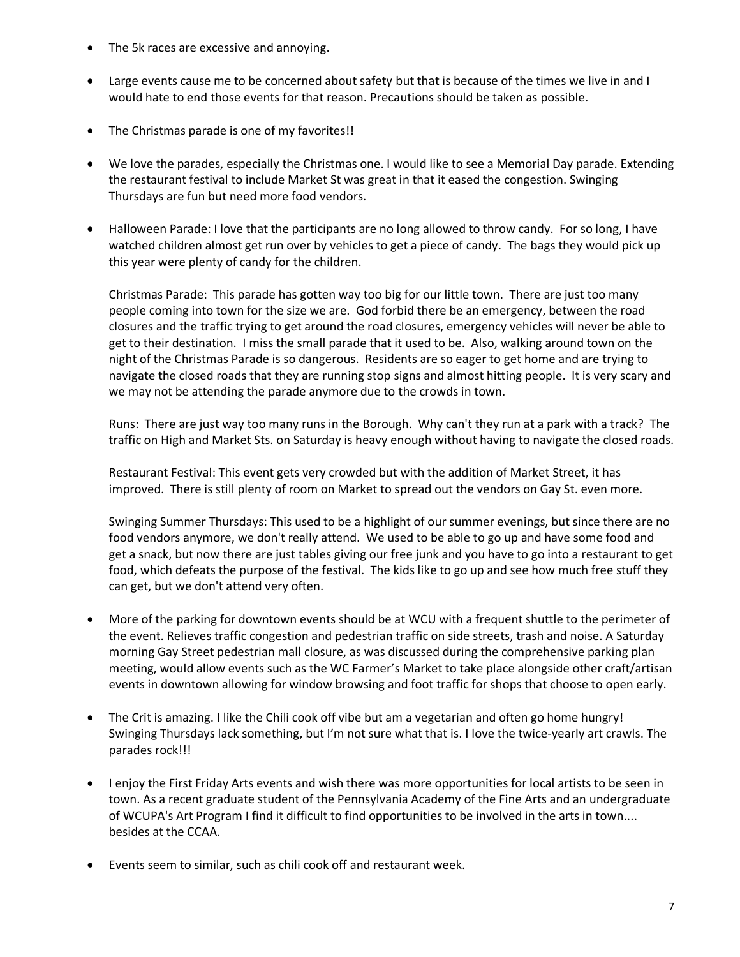- The 5k races are excessive and annoying.
- Large events cause me to be concerned about safety but that is because of the times we live in and I would hate to end those events for that reason. Precautions should be taken as possible.
- The Christmas parade is one of my favorites!!
- We love the parades, especially the Christmas one. I would like to see a Memorial Day parade. Extending the restaurant festival to include Market St was great in that it eased the congestion. Swinging Thursdays are fun but need more food vendors.
- Halloween Parade: I love that the participants are no long allowed to throw candy. For so long, I have watched children almost get run over by vehicles to get a piece of candy. The bags they would pick up this year were plenty of candy for the children.

Christmas Parade: This parade has gotten way too big for our little town. There are just too many people coming into town for the size we are. God forbid there be an emergency, between the road closures and the traffic trying to get around the road closures, emergency vehicles will never be able to get to their destination. I miss the small parade that it used to be. Also, walking around town on the night of the Christmas Parade is so dangerous. Residents are so eager to get home and are trying to navigate the closed roads that they are running stop signs and almost hitting people. It is very scary and we may not be attending the parade anymore due to the crowds in town.

Runs: There are just way too many runs in the Borough. Why can't they run at a park with a track? The traffic on High and Market Sts. on Saturday is heavy enough without having to navigate the closed roads.

Restaurant Festival: This event gets very crowded but with the addition of Market Street, it has improved. There is still plenty of room on Market to spread out the vendors on Gay St. even more.

Swinging Summer Thursdays: This used to be a highlight of our summer evenings, but since there are no food vendors anymore, we don't really attend. We used to be able to go up and have some food and get a snack, but now there are just tables giving our free junk and you have to go into a restaurant to get food, which defeats the purpose of the festival. The kids like to go up and see how much free stuff they can get, but we don't attend very often.

- More of the parking for downtown events should be at WCU with a frequent shuttle to the perimeter of the event. Relieves traffic congestion and pedestrian traffic on side streets, trash and noise. A Saturday morning Gay Street pedestrian mall closure, as was discussed during the comprehensive parking plan meeting, would allow events such as the WC Farmer's Market to take place alongside other craft/artisan events in downtown allowing for window browsing and foot traffic for shops that choose to open early.
- The Crit is amazing. I like the Chili cook off vibe but am a vegetarian and often go home hungry! Swinging Thursdays lack something, but I'm not sure what that is. I love the twice-yearly art crawls. The parades rock!!!
- I enjoy the First Friday Arts events and wish there was more opportunities for local artists to be seen in town. As a recent graduate student of the Pennsylvania Academy of the Fine Arts and an undergraduate of WCUPA's Art Program I find it difficult to find opportunities to be involved in the arts in town.... besides at the CCAA.
- Events seem to similar, such as chili cook off and restaurant week.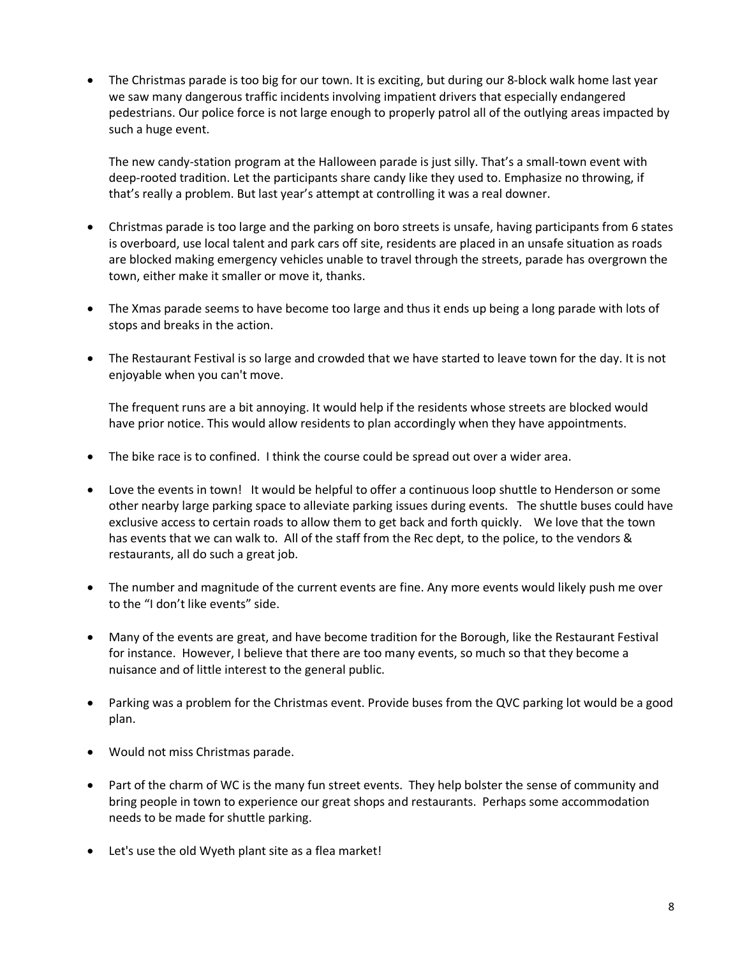• The Christmas parade is too big for our town. It is exciting, but during our 8-block walk home last year we saw many dangerous traffic incidents involving impatient drivers that especially endangered pedestrians. Our police force is not large enough to properly patrol all of the outlying areas impacted by such a huge event.

The new candy-station program at the Halloween parade is just silly. That's a small-town event with deep-rooted tradition. Let the participants share candy like they used to. Emphasize no throwing, if that's really a problem. But last year's attempt at controlling it was a real downer.

- Christmas parade is too large and the parking on boro streets is unsafe, having participants from 6 states is overboard, use local talent and park cars off site, residents are placed in an unsafe situation as roads are blocked making emergency vehicles unable to travel through the streets, parade has overgrown the town, either make it smaller or move it, thanks.
- The Xmas parade seems to have become too large and thus it ends up being a long parade with lots of stops and breaks in the action.
- The Restaurant Festival is so large and crowded that we have started to leave town for the day. It is not enjoyable when you can't move.

The frequent runs are a bit annoying. It would help if the residents whose streets are blocked would have prior notice. This would allow residents to plan accordingly when they have appointments.

- The bike race is to confined. I think the course could be spread out over a wider area.
- Love the events in town! It would be helpful to offer a continuous loop shuttle to Henderson or some other nearby large parking space to alleviate parking issues during events. The shuttle buses could have exclusive access to certain roads to allow them to get back and forth quickly. We love that the town has events that we can walk to. All of the staff from the Rec dept, to the police, to the vendors & restaurants, all do such a great job.
- The number and magnitude of the current events are fine. Any more events would likely push me over to the "I don't like events" side.
- Many of the events are great, and have become tradition for the Borough, like the Restaurant Festival for instance. However, I believe that there are too many events, so much so that they become a nuisance and of little interest to the general public.
- Parking was a problem for the Christmas event. Provide buses from the QVC parking lot would be a good plan.
- Would not miss Christmas parade.
- Part of the charm of WC is the many fun street events. They help bolster the sense of community and bring people in town to experience our great shops and restaurants. Perhaps some accommodation needs to be made for shuttle parking.
- Let's use the old Wyeth plant site as a flea market!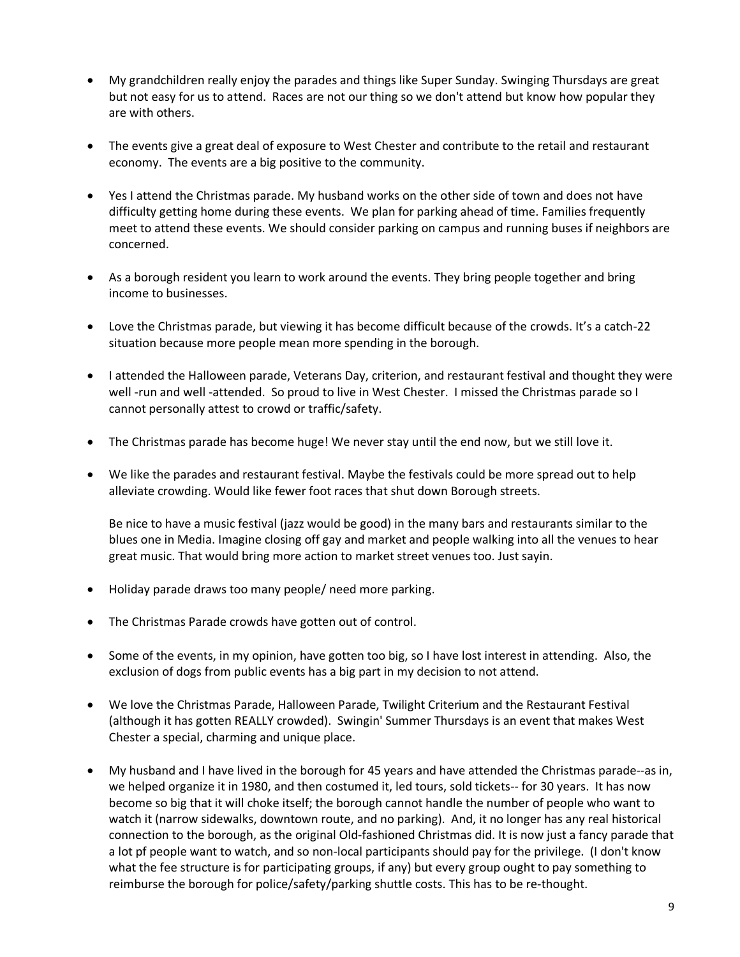- My grandchildren really enjoy the parades and things like Super Sunday. Swinging Thursdays are great but not easy for us to attend. Races are not our thing so we don't attend but know how popular they are with others.
- The events give a great deal of exposure to West Chester and contribute to the retail and restaurant economy. The events are a big positive to the community.
- Yes I attend the Christmas parade. My husband works on the other side of town and does not have difficulty getting home during these events. We plan for parking ahead of time. Families frequently meet to attend these events. We should consider parking on campus and running buses if neighbors are concerned.
- As a borough resident you learn to work around the events. They bring people together and bring income to businesses.
- Love the Christmas parade, but viewing it has become difficult because of the crowds. It's a catch-22 situation because more people mean more spending in the borough.
- I attended the Halloween parade, Veterans Day, criterion, and restaurant festival and thought they were well -run and well -attended. So proud to live in West Chester. I missed the Christmas parade so I cannot personally attest to crowd or traffic/safety.
- The Christmas parade has become huge! We never stay until the end now, but we still love it.
- We like the parades and restaurant festival. Maybe the festivals could be more spread out to help alleviate crowding. Would like fewer foot races that shut down Borough streets.

Be nice to have a music festival (jazz would be good) in the many bars and restaurants similar to the blues one in Media. Imagine closing off gay and market and people walking into all the venues to hear great music. That would bring more action to market street venues too. Just sayin.

- Holiday parade draws too many people/ need more parking.
- The Christmas Parade crowds have gotten out of control.
- Some of the events, in my opinion, have gotten too big, so I have lost interest in attending. Also, the exclusion of dogs from public events has a big part in my decision to not attend.
- We love the Christmas Parade, Halloween Parade, Twilight Criterium and the Restaurant Festival (although it has gotten REALLY crowded). Swingin' Summer Thursdays is an event that makes West Chester a special, charming and unique place.
- My husband and I have lived in the borough for 45 years and have attended the Christmas parade--as in, we helped organize it in 1980, and then costumed it, led tours, sold tickets-- for 30 years. It has now become so big that it will choke itself; the borough cannot handle the number of people who want to watch it (narrow sidewalks, downtown route, and no parking). And, it no longer has any real historical connection to the borough, as the original Old-fashioned Christmas did. It is now just a fancy parade that a lot pf people want to watch, and so non-local participants should pay for the privilege. (I don't know what the fee structure is for participating groups, if any) but every group ought to pay something to reimburse the borough for police/safety/parking shuttle costs. This has to be re-thought.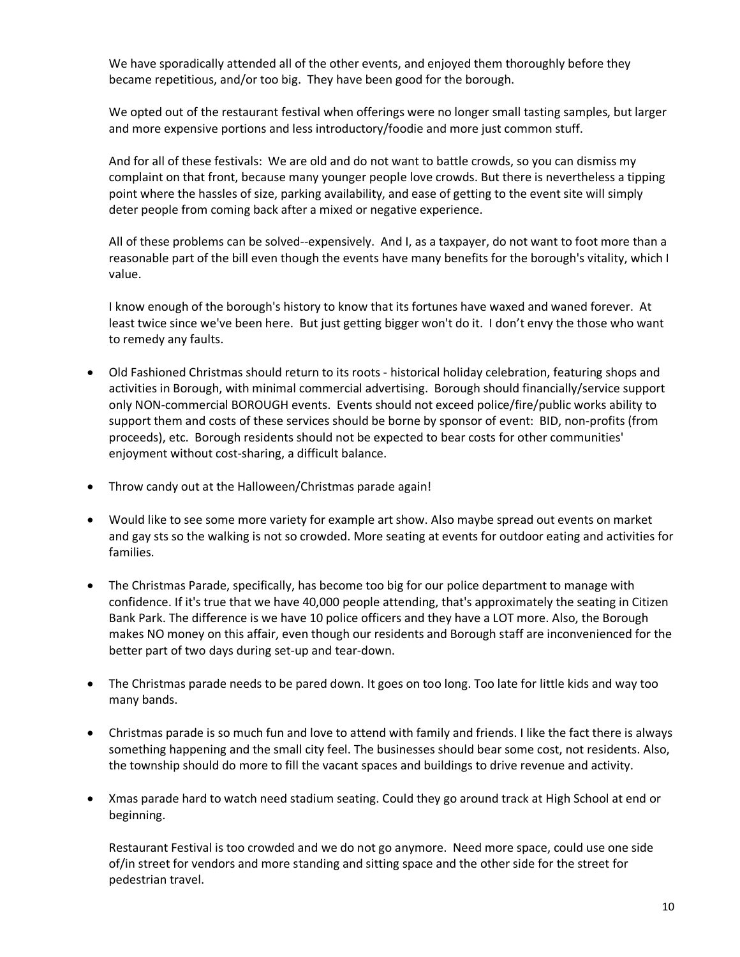We have sporadically attended all of the other events, and enjoyed them thoroughly before they became repetitious, and/or too big. They have been good for the borough.

We opted out of the restaurant festival when offerings were no longer small tasting samples, but larger and more expensive portions and less introductory/foodie and more just common stuff.

And for all of these festivals: We are old and do not want to battle crowds, so you can dismiss my complaint on that front, because many younger people love crowds. But there is nevertheless a tipping point where the hassles of size, parking availability, and ease of getting to the event site will simply deter people from coming back after a mixed or negative experience.

All of these problems can be solved--expensively. And I, as a taxpayer, do not want to foot more than a reasonable part of the bill even though the events have many benefits for the borough's vitality, which I value.

I know enough of the borough's history to know that its fortunes have waxed and waned forever. At least twice since we've been here. But just getting bigger won't do it. I don't envy the those who want to remedy any faults.

- Old Fashioned Christmas should return to its roots historical holiday celebration, featuring shops and activities in Borough, with minimal commercial advertising. Borough should financially/service support only NON-commercial BOROUGH events. Events should not exceed police/fire/public works ability to support them and costs of these services should be borne by sponsor of event: BID, non-profits (from proceeds), etc. Borough residents should not be expected to bear costs for other communities' enjoyment without cost-sharing, a difficult balance.
- Throw candy out at the Halloween/Christmas parade again!
- Would like to see some more variety for example art show. Also maybe spread out events on market and gay sts so the walking is not so crowded. More seating at events for outdoor eating and activities for families.
- The Christmas Parade, specifically, has become too big for our police department to manage with confidence. If it's true that we have 40,000 people attending, that's approximately the seating in Citizen Bank Park. The difference is we have 10 police officers and they have a LOT more. Also, the Borough makes NO money on this affair, even though our residents and Borough staff are inconvenienced for the better part of two days during set-up and tear-down.
- The Christmas parade needs to be pared down. It goes on too long. Too late for little kids and way too many bands.
- Christmas parade is so much fun and love to attend with family and friends. I like the fact there is always something happening and the small city feel. The businesses should bear some cost, not residents. Also, the township should do more to fill the vacant spaces and buildings to drive revenue and activity.
- Xmas parade hard to watch need stadium seating. Could they go around track at High School at end or beginning.

Restaurant Festival is too crowded and we do not go anymore. Need more space, could use one side of/in street for vendors and more standing and sitting space and the other side for the street for pedestrian travel.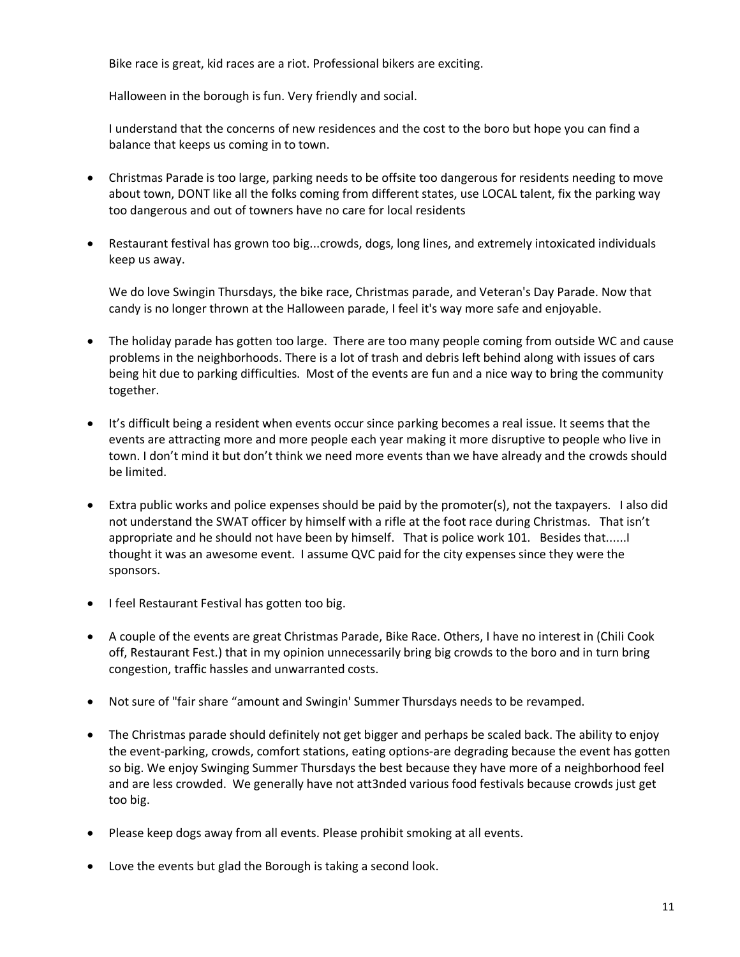Bike race is great, kid races are a riot. Professional bikers are exciting.

Halloween in the borough is fun. Very friendly and social.

I understand that the concerns of new residences and the cost to the boro but hope you can find a balance that keeps us coming in to town.

- Christmas Parade is too large, parking needs to be offsite too dangerous for residents needing to move about town, DONT like all the folks coming from different states, use LOCAL talent, fix the parking way too dangerous and out of towners have no care for local residents
- Restaurant festival has grown too big...crowds, dogs, long lines, and extremely intoxicated individuals keep us away.

We do love Swingin Thursdays, the bike race, Christmas parade, and Veteran's Day Parade. Now that candy is no longer thrown at the Halloween parade, I feel it's way more safe and enjoyable.

- The holiday parade has gotten too large. There are too many people coming from outside WC and cause problems in the neighborhoods. There is a lot of trash and debris left behind along with issues of cars being hit due to parking difficulties. Most of the events are fun and a nice way to bring the community together.
- It's difficult being a resident when events occur since parking becomes a real issue. It seems that the events are attracting more and more people each year making it more disruptive to people who live in town. I don't mind it but don't think we need more events than we have already and the crowds should be limited.
- Extra public works and police expenses should be paid by the promoter(s), not the taxpayers. I also did not understand the SWAT officer by himself with a rifle at the foot race during Christmas. That isn't appropriate and he should not have been by himself. That is police work 101. Besides that......I thought it was an awesome event. I assume QVC paid for the city expenses since they were the sponsors.
- I feel Restaurant Festival has gotten too big.
- A couple of the events are great Christmas Parade, Bike Race. Others, I have no interest in (Chili Cook off, Restaurant Fest.) that in my opinion unnecessarily bring big crowds to the boro and in turn bring congestion, traffic hassles and unwarranted costs.
- Not sure of "fair share "amount and Swingin' Summer Thursdays needs to be revamped.
- The Christmas parade should definitely not get bigger and perhaps be scaled back. The ability to enjoy the event-parking, crowds, comfort stations, eating options-are degrading because the event has gotten so big. We enjoy Swinging Summer Thursdays the best because they have more of a neighborhood feel and are less crowded. We generally have not att3nded various food festivals because crowds just get too big.
- Please keep dogs away from all events. Please prohibit smoking at all events.
- Love the events but glad the Borough is taking a second look.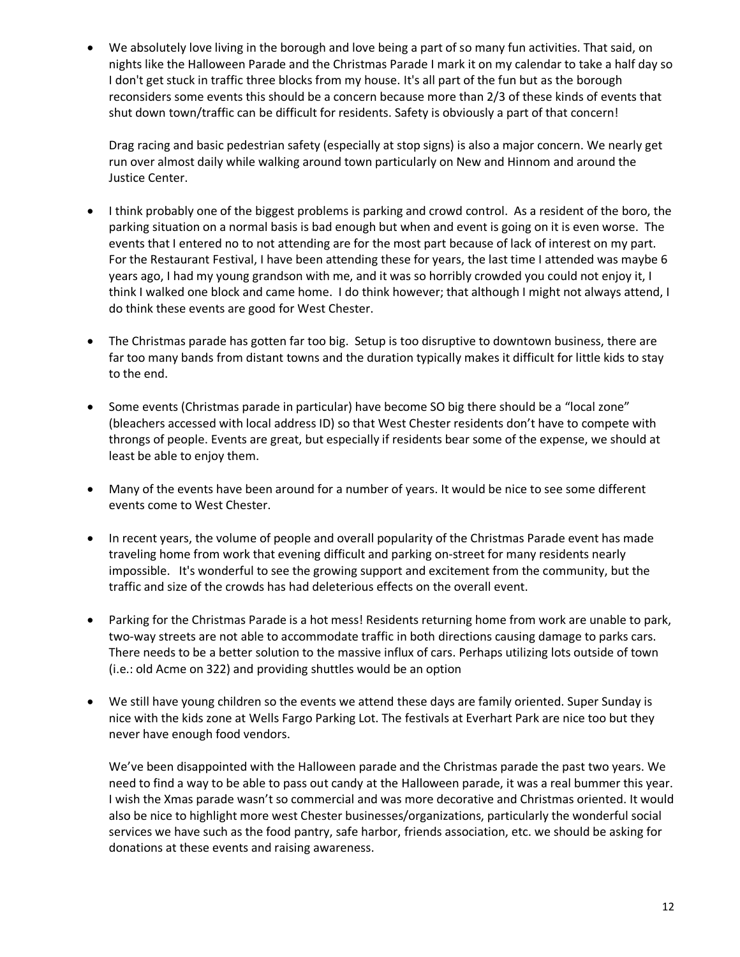• We absolutely love living in the borough and love being a part of so many fun activities. That said, on nights like the Halloween Parade and the Christmas Parade I mark it on my calendar to take a half day so I don't get stuck in traffic three blocks from my house. It's all part of the fun but as the borough reconsiders some events this should be a concern because more than 2/3 of these kinds of events that shut down town/traffic can be difficult for residents. Safety is obviously a part of that concern!

Drag racing and basic pedestrian safety (especially at stop signs) is also a major concern. We nearly get run over almost daily while walking around town particularly on New and Hinnom and around the Justice Center.

- I think probably one of the biggest problems is parking and crowd control. As a resident of the boro, the parking situation on a normal basis is bad enough but when and event is going on it is even worse. The events that I entered no to not attending are for the most part because of lack of interest on my part. For the Restaurant Festival, I have been attending these for years, the last time I attended was maybe 6 years ago, I had my young grandson with me, and it was so horribly crowded you could not enjoy it, I think I walked one block and came home. I do think however; that although I might not always attend, I do think these events are good for West Chester.
- The Christmas parade has gotten far too big. Setup is too disruptive to downtown business, there are far too many bands from distant towns and the duration typically makes it difficult for little kids to stay to the end.
- Some events (Christmas parade in particular) have become SO big there should be a "local zone" (bleachers accessed with local address ID) so that West Chester residents don't have to compete with throngs of people. Events are great, but especially if residents bear some of the expense, we should at least be able to enjoy them.
- Many of the events have been around for a number of years. It would be nice to see some different events come to West Chester.
- In recent years, the volume of people and overall popularity of the Christmas Parade event has made traveling home from work that evening difficult and parking on-street for many residents nearly impossible. It's wonderful to see the growing support and excitement from the community, but the traffic and size of the crowds has had deleterious effects on the overall event.
- Parking for the Christmas Parade is a hot mess! Residents returning home from work are unable to park, two-way streets are not able to accommodate traffic in both directions causing damage to parks cars. There needs to be a better solution to the massive influx of cars. Perhaps utilizing lots outside of town (i.e.: old Acme on 322) and providing shuttles would be an option
- We still have young children so the events we attend these days are family oriented. Super Sunday is nice with the kids zone at Wells Fargo Parking Lot. The festivals at Everhart Park are nice too but they never have enough food vendors.

We've been disappointed with the Halloween parade and the Christmas parade the past two years. We need to find a way to be able to pass out candy at the Halloween parade, it was a real bummer this year. I wish the Xmas parade wasn't so commercial and was more decorative and Christmas oriented. It would also be nice to highlight more west Chester businesses/organizations, particularly the wonderful social services we have such as the food pantry, safe harbor, friends association, etc. we should be asking for donations at these events and raising awareness.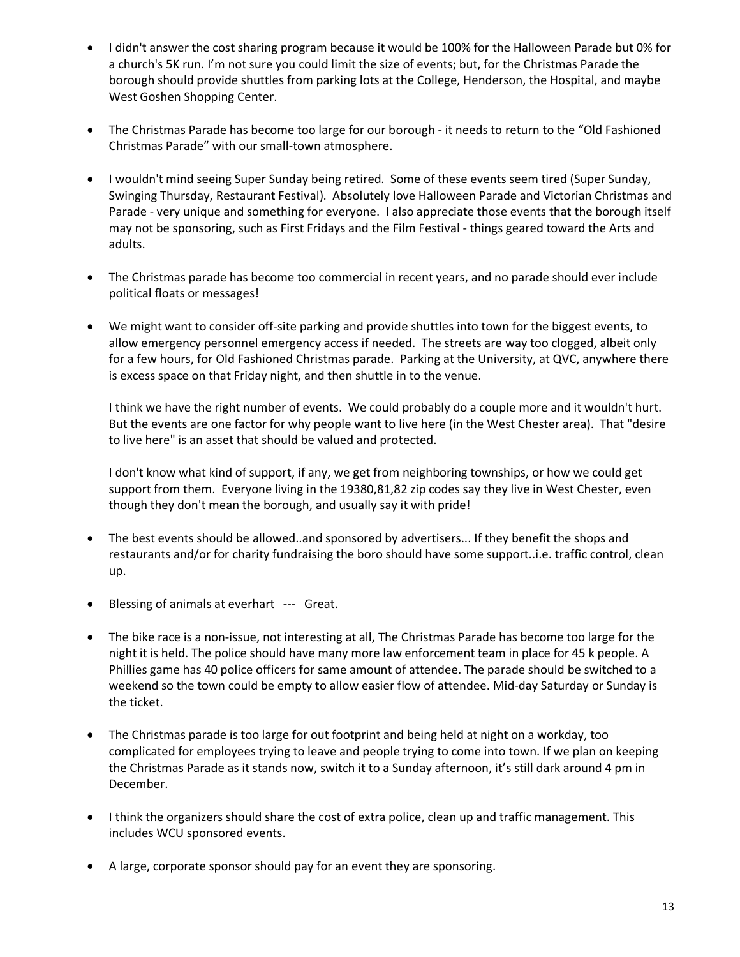- I didn't answer the cost sharing program because it would be 100% for the Halloween Parade but 0% for a church's 5K run. I'm not sure you could limit the size of events; but, for the Christmas Parade the borough should provide shuttles from parking lots at the College, Henderson, the Hospital, and maybe West Goshen Shopping Center.
- The Christmas Parade has become too large for our borough it needs to return to the "Old Fashioned Christmas Parade" with our small-town atmosphere.
- I wouldn't mind seeing Super Sunday being retired. Some of these events seem tired (Super Sunday, Swinging Thursday, Restaurant Festival). Absolutely love Halloween Parade and Victorian Christmas and Parade - very unique and something for everyone. I also appreciate those events that the borough itself may not be sponsoring, such as First Fridays and the Film Festival - things geared toward the Arts and adults.
- The Christmas parade has become too commercial in recent years, and no parade should ever include political floats or messages!
- We might want to consider off-site parking and provide shuttles into town for the biggest events, to allow emergency personnel emergency access if needed. The streets are way too clogged, albeit only for a few hours, for Old Fashioned Christmas parade. Parking at the University, at QVC, anywhere there is excess space on that Friday night, and then shuttle in to the venue.

I think we have the right number of events. We could probably do a couple more and it wouldn't hurt. But the events are one factor for why people want to live here (in the West Chester area). That "desire to live here" is an asset that should be valued and protected.

I don't know what kind of support, if any, we get from neighboring townships, or how we could get support from them. Everyone living in the 19380,81,82 zip codes say they live in West Chester, even though they don't mean the borough, and usually say it with pride!

- The best events should be allowed..and sponsored by advertisers... If they benefit the shops and restaurants and/or for charity fundraising the boro should have some support..i.e. traffic control, clean up.
- Blessing of animals at everhart --- Great.
- The bike race is a non-issue, not interesting at all, The Christmas Parade has become too large for the night it is held. The police should have many more law enforcement team in place for 45 k people. A Phillies game has 40 police officers for same amount of attendee. The parade should be switched to a weekend so the town could be empty to allow easier flow of attendee. Mid-day Saturday or Sunday is the ticket.
- The Christmas parade is too large for out footprint and being held at night on a workday, too complicated for employees trying to leave and people trying to come into town. If we plan on keeping the Christmas Parade as it stands now, switch it to a Sunday afternoon, it's still dark around 4 pm in December.
- I think the organizers should share the cost of extra police, clean up and traffic management. This includes WCU sponsored events.
- A large, corporate sponsor should pay for an event they are sponsoring.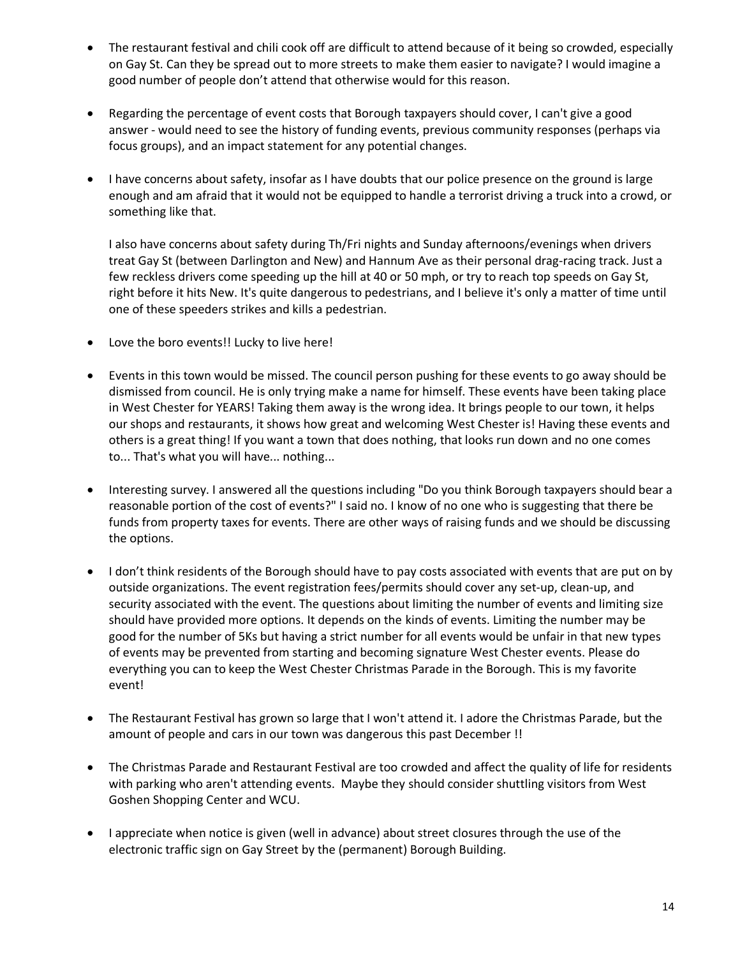- The restaurant festival and chili cook off are difficult to attend because of it being so crowded, especially on Gay St. Can they be spread out to more streets to make them easier to navigate? I would imagine a good number of people don't attend that otherwise would for this reason.
- Regarding the percentage of event costs that Borough taxpayers should cover, I can't give a good answer - would need to see the history of funding events, previous community responses (perhaps via focus groups), and an impact statement for any potential changes.
- I have concerns about safety, insofar as I have doubts that our police presence on the ground is large enough and am afraid that it would not be equipped to handle a terrorist driving a truck into a crowd, or something like that.

I also have concerns about safety during Th/Fri nights and Sunday afternoons/evenings when drivers treat Gay St (between Darlington and New) and Hannum Ave as their personal drag-racing track. Just a few reckless drivers come speeding up the hill at 40 or 50 mph, or try to reach top speeds on Gay St, right before it hits New. It's quite dangerous to pedestrians, and I believe it's only a matter of time until one of these speeders strikes and kills a pedestrian.

- Love the boro events!! Lucky to live here!
- Events in this town would be missed. The council person pushing for these events to go away should be dismissed from council. He is only trying make a name for himself. These events have been taking place in West Chester for YEARS! Taking them away is the wrong idea. It brings people to our town, it helps our shops and restaurants, it shows how great and welcoming West Chester is! Having these events and others is a great thing! If you want a town that does nothing, that looks run down and no one comes to... That's what you will have... nothing...
- Interesting survey. I answered all the questions including "Do you think Borough taxpayers should bear a reasonable portion of the cost of events?" I said no. I know of no one who is suggesting that there be funds from property taxes for events. There are other ways of raising funds and we should be discussing the options.
- I don't think residents of the Borough should have to pay costs associated with events that are put on by outside organizations. The event registration fees/permits should cover any set-up, clean-up, and security associated with the event. The questions about limiting the number of events and limiting size should have provided more options. It depends on the kinds of events. Limiting the number may be good for the number of 5Ks but having a strict number for all events would be unfair in that new types of events may be prevented from starting and becoming signature West Chester events. Please do everything you can to keep the West Chester Christmas Parade in the Borough. This is my favorite event!
- The Restaurant Festival has grown so large that I won't attend it. I adore the Christmas Parade, but the amount of people and cars in our town was dangerous this past December !!
- The Christmas Parade and Restaurant Festival are too crowded and affect the quality of life for residents with parking who aren't attending events. Maybe they should consider shuttling visitors from West Goshen Shopping Center and WCU.
- I appreciate when notice is given (well in advance) about street closures through the use of the electronic traffic sign on Gay Street by the (permanent) Borough Building.